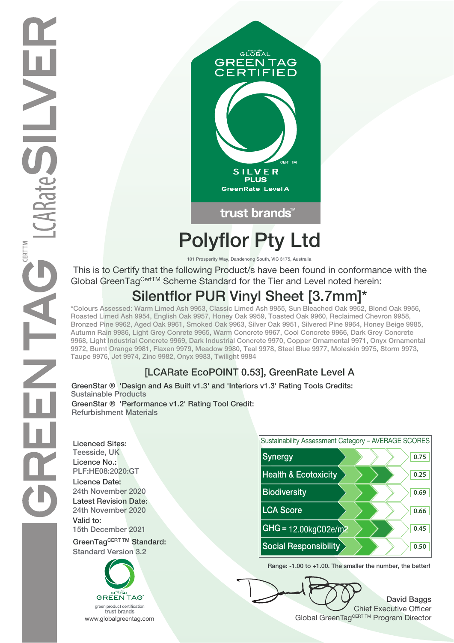

# **Polyflor Pty Ltd**

**101 Prosperity Way, Dandenong South, VIC 3175, Australia**

 This is to Certify that the following Product/s have been found in conformance with the Global GreenTag<sup>Cert™</sup> Scheme Standard for the Tier and Level noted herein:

# **Silentflor PUR Vinyl Sheet [3.7mm]\***

**\*Colours Assessed: Warm Limed Ash 9953, Classic Limed Ash 9955, Sun Bleached Oak 9952, Blond Oak 9956, Roasted Limed Ash 9954, English Oak 9957, Honey Oak 9959, Toasted Oak 9960, Reclaimed Chevron 9958, Bronzed Pine 9962, Aged Oak 9961, Smoked Oak 9963, Silver Oak 9951, Silvered Pine 9964, Honey Beige 9985, Autumn Rain 9986, Light Grey Conrete 9965, Warm Concrete 9967, Cool Concrete 9966, Dark Grey Concrete 9968, Light Industrial Concrete 9969, Dark Industrial Concrete 9970, Copper Ornamental 9971, Onyx Ornamental 9972, Burnt Orange 9981, Flaxen 9979, Meadow 9980, Teal 9978, Steel Blue 9977, Moleskin 9975, Storm 9973, Taupe 9976, Jet 9974, Zinc 9982, Onyx 9983, Twilight 9984**

### **[LCARate EcoPOINT 0.53], GreenRate Level A**

**Sustainable Products GreenStar ® 'Design and As Built v1.3' and 'Interiors v1.3' Rating Tools Credits: GreenStar ® 'Performance v1.2' Rating Tool Credit: Refurbishment Materials**

**Licenced Sites: Licence No.: Licence Date: Latest Revision Date: Valid to:**





**Range: -1.00 to +1.00. The smaller the number, the better!**

**David Baggs** Chief Executive Officer WWW.globalgreentag.com **Program Director** Global GreenTagCERT TM Program Director